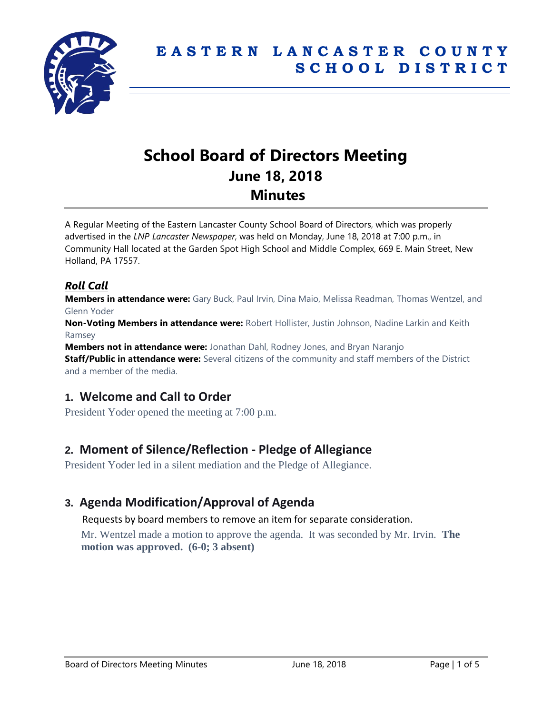

# **School Board of Directors Meeting June 18, 2018 Minutes**

A Regular Meeting of the Eastern Lancaster County School Board of Directors, which was properly advertised in the *LNP Lancaster Newspaper*, was held on Monday, June 18, 2018 at 7:00 p.m., in Community Hall located at the Garden Spot High School and Middle Complex, 669 E. Main Street, New Holland, PA 17557.

### *Roll Call*

**Members in attendance were:** Gary Buck, Paul Irvin, Dina Maio, Melissa Readman, Thomas Wentzel, and Glenn Yoder

**Non-Voting Members in attendance were:** Robert Hollister, Justin Johnson, Nadine Larkin and Keith Ramsey

**Members not in attendance were:** Jonathan Dahl, Rodney Jones, and Bryan Naranjo **Staff/Public in attendance were:** Several citizens of the community and staff members of the District and a member of the media.

# **1. Welcome and Call to Order**

President Yoder opened the meeting at 7:00 p.m.

# **2. Moment of Silence/Reflection - Pledge of Allegiance**

President Yoder led in a silent mediation and the Pledge of Allegiance.

# **3. Agenda Modification/Approval of Agenda**

Requests by board members to remove an item for separate consideration.

Mr. Wentzel made a motion to approve the agenda. It was seconded by Mr. Irvin. **The motion was approved. (6-0; 3 absent)**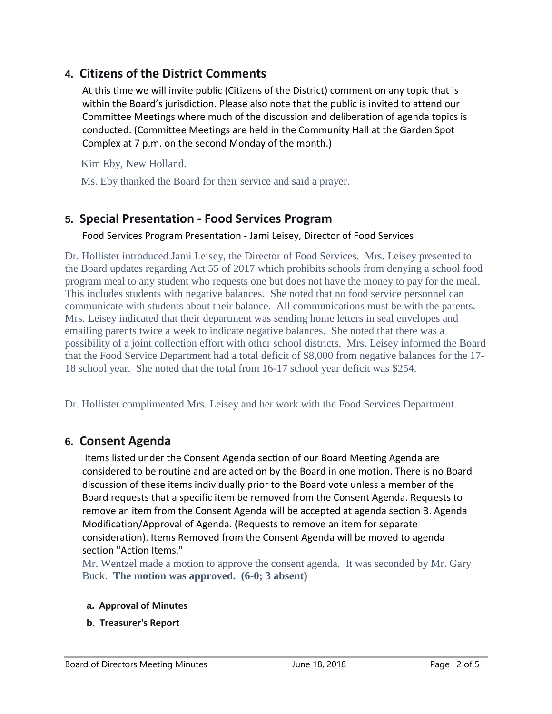# **4. Citizens of the District Comments**

At this time we will invite public (Citizens of the District) comment on any topic that is within the Board's jurisdiction. Please also note that the public is invited to attend our Committee Meetings where much of the discussion and deliberation of agenda topics is conducted. (Committee Meetings are held in the Community Hall at the Garden Spot Complex at 7 p.m. on the second Monday of the month.)

### Kim Eby, New Holland.

Ms. Eby thanked the Board for their service and said a prayer.

# **5. Special Presentation - Food Services Program**

#### Food Services Program Presentation - Jami Leisey, Director of Food Services

Dr. Hollister introduced Jami Leisey, the Director of Food Services. Mrs. Leisey presented to the Board updates regarding Act 55 of 2017 which prohibits schools from denying a school food program meal to any student who requests one but does not have the money to pay for the meal. This includes students with negative balances. She noted that no food service personnel can communicate with students about their balance. All communications must be with the parents. Mrs. Leisey indicated that their department was sending home letters in seal envelopes and emailing parents twice a week to indicate negative balances. She noted that there was a possibility of a joint collection effort with other school districts. Mrs. Leisey informed the Board that the Food Service Department had a total deficit of \$8,000 from negative balances for the 17- 18 school year. She noted that the total from 16-17 school year deficit was \$254.

Dr. Hollister complimented Mrs. Leisey and her work with the Food Services Department.

# **6. Consent Agenda**

Items listed under the Consent Agenda section of our Board Meeting Agenda are considered to be routine and are acted on by the Board in one motion. There is no Board discussion of these items individually prior to the Board vote unless a member of the Board requests that a specific item be removed from the Consent Agenda. Requests to remove an item from the Consent Agenda will be accepted at agenda section 3. Agenda Modification/Approval of Agenda. (Requests to remove an item for separate consideration). Items Removed from the Consent Agenda will be moved to agenda section "Action Items."

Mr. Wentzel made a motion to approve the consent agenda. It was seconded by Mr. Gary Buck. **The motion was approved. (6-0; 3 absent)**

#### **a. Approval of Minutes**

**b. Treasurer's Report**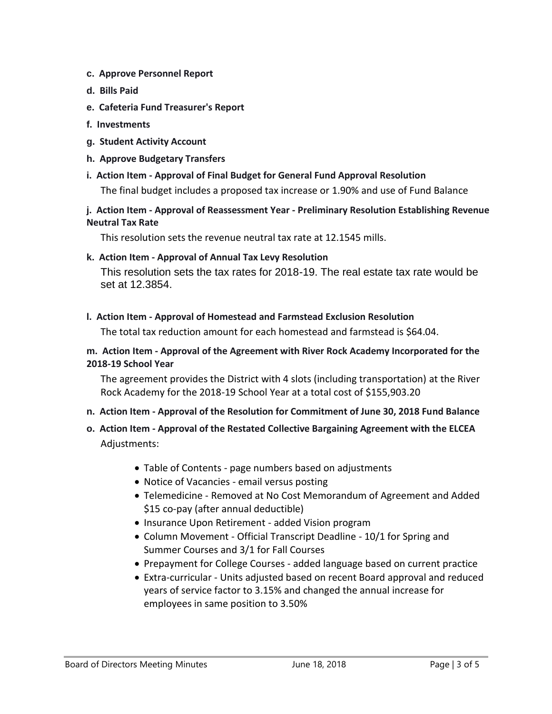- **c. Approve Personnel Report**
- **d. Bills Paid**
- **e. Cafeteria Fund Treasurer's Report**
- **f. Investments**
- **g. Student Activity Account**
- **h. Approve Budgetary Transfers**
- **i. Action Item - Approval of Final Budget for General Fund Approval Resolution**

The final budget includes a proposed tax increase or 1.90% and use of Fund Balance

#### **j. Action Item - Approval of Reassessment Year - Preliminary Resolution Establishing Revenue Neutral Tax Rate**

This resolution sets the revenue neutral tax rate at 12.1545 mills.

#### **k. Action Item - Approval of Annual Tax Levy Resolution**

This resolution sets the tax rates for 2018-19. The real estate tax rate would be set at 12.3854.

**l. Action Item - Approval of Homestead and Farmstead Exclusion Resolution**

The total tax reduction amount for each homestead and farmstead is \$64.04.

#### **m. Action Item - Approval of the Agreement with River Rock Academy Incorporated for the 2018-19 School Year**

The agreement provides the District with 4 slots (including transportation) at the River Rock Academy for the 2018-19 School Year at a total cost of \$155,903.20

- **n. Action Item - Approval of the Resolution for Commitment of June 30, 2018 Fund Balance**
- **o. Action Item - Approval of the Restated Collective Bargaining Agreement with the ELCEA** Adjustments:
	- Table of Contents page numbers based on adjustments
	- Notice of Vacancies email versus posting
	- Telemedicine Removed at No Cost Memorandum of Agreement and Added \$15 co-pay (after annual deductible)
	- Insurance Upon Retirement added Vision program
	- Column Movement Official Transcript Deadline 10/1 for Spring and Summer Courses and 3/1 for Fall Courses
	- Prepayment for College Courses added language based on current practice
	- Extra-curricular Units adjusted based on recent Board approval and reduced years of service factor to 3.15% and changed the annual increase for employees in same position to 3.50%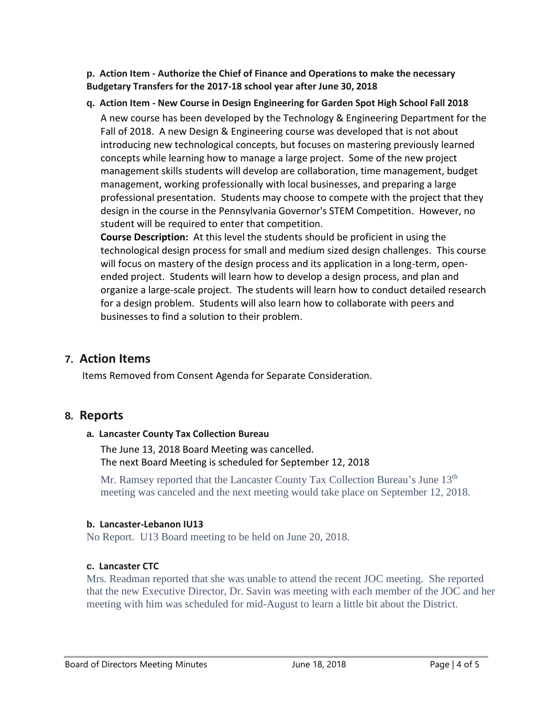**p. Action Item - Authorize the Chief of Finance and Operations to make the necessary Budgetary Transfers for the 2017-18 school year after June 30, 2018**

### **q. Action Item - New Course in Design Engineering for Garden Spot High School Fall 2018** A new course has been developed by the Technology & Engineering Department for the Fall of 2018. A new Design & Engineering course was developed that is not about introducing new technological concepts, but focuses on mastering previously learned concepts while learning how to manage a large project. Some of the new project management skills students will develop are collaboration, time management, budget management, working professionally with local businesses, and preparing a large professional presentation. Students may choose to compete with the project that they design in the course in the Pennsylvania Governor's STEM Competition. However, no student will be required to enter that competition.

**Course Description:** At this level the students should be proficient in using the technological design process for small and medium sized design challenges. This course will focus on mastery of the design process and its application in a long-term, openended project. Students will learn how to develop a design process, and plan and organize a large-scale project. The students will learn how to conduct detailed research for a design problem. Students will also learn how to collaborate with peers and businesses to find a solution to their problem.

### **7. Action Items**

Items Removed from Consent Agenda for Separate Consideration.

# **8. Reports**

#### **a. Lancaster County Tax Collection Bureau**

The June 13, 2018 Board Meeting was cancelled. The next Board Meeting is scheduled for September 12, 2018

Mr. Ramsey reported that the Lancaster County Tax Collection Bureau's June 13<sup>th</sup> meeting was canceled and the next meeting would take place on September 12, 2018.

#### **b. Lancaster-Lebanon IU13**

No Report. U13 Board meeting to be held on June 20, 2018.

### **c. Lancaster CTC**

Mrs. Readman reported that she was unable to attend the recent JOC meeting. She reported that the new Executive Director, Dr. Savin was meeting with each member of the JOC and her meeting with him was scheduled for mid-August to learn a little bit about the District.